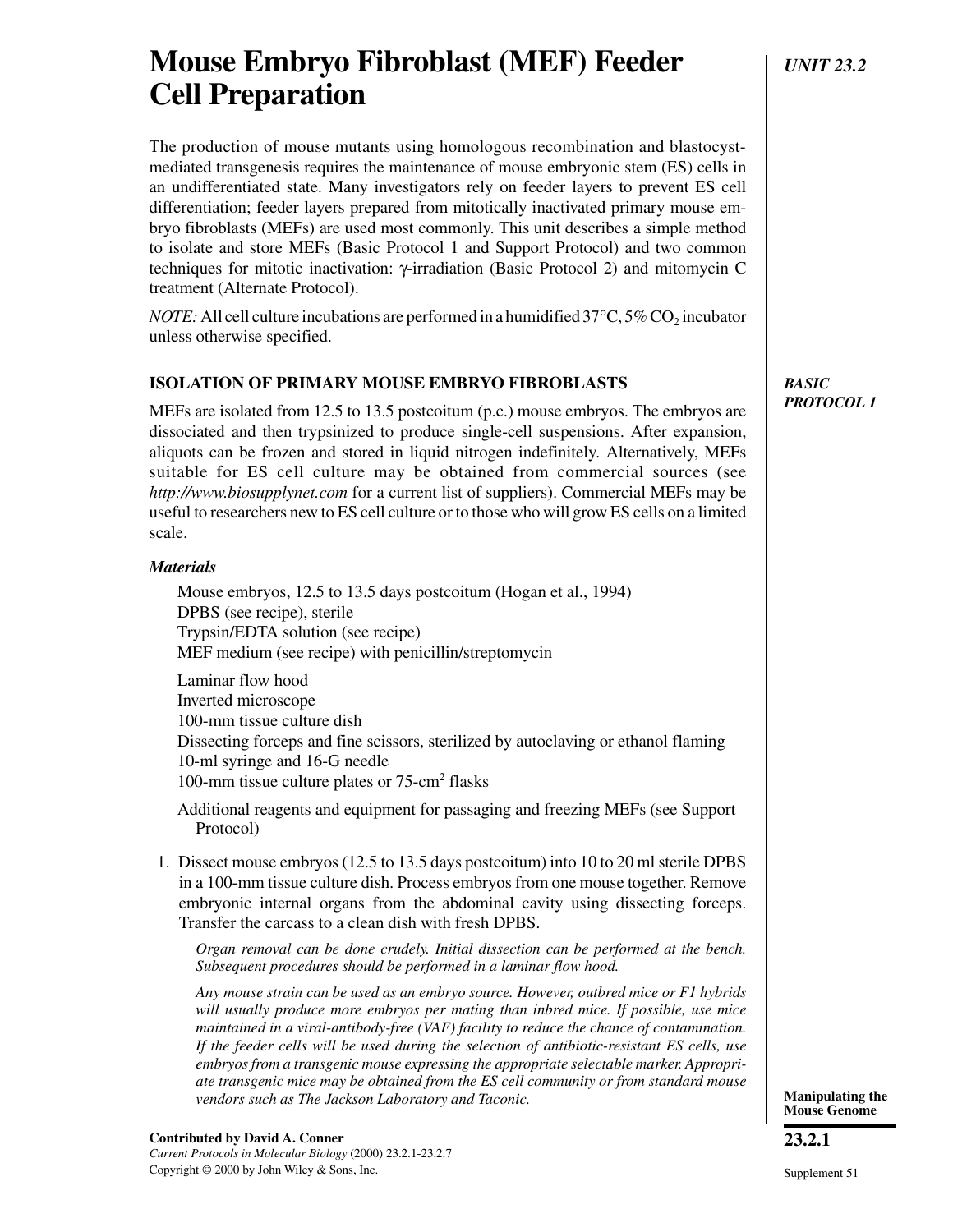# **Mouse Embryo Fibroblast (MEF) Feeder** 1 *UNIT 23.2* **Cell Preparation**

The production of mouse mutants using homologous recombination and blastocystmediated transgenesis requires the maintenance of mouse embryonic stem (ES) cells in an undifferentiated state. Many investigators rely on feeder layers to prevent ES cell differentiation; feeder layers prepared from mitotically inactivated primary mouse embryo fibroblasts (MEFs) are used most commonly. This unit describes a simple method to isolate and store MEFs (Basic Protocol 1 and Support Protocol) and two common techniques for mitotic inactivation: γ-irradiation (Basic Protocol 2) and mitomycin C treatment (Alternate Protocol).

*NOTE*: All cell culture incubations are performed in a humidified  $37^{\circ}$ C,  $5\%$  CO<sub>2</sub> incubator unless otherwise specified.

## **ISOLATION OF PRIMARY MOUSE EMBRYO FIBROBLASTS**

MEFs are isolated from 12.5 to 13.5 postcoitum (p.c.) mouse embryos. The embryos are dissociated and then trypsinized to produce single-cell suspensions. After expansion, aliquots can be frozen and stored in liquid nitrogen indefinitely. Alternatively, MEFs suitable for ES cell culture may be obtained from commercial sources (see *http://www.biosupplynet.com* for a current list of suppliers). Commercial MEFs may be useful to researchers new to ES cell culture or to those who will grow ES cells on a limited scale.

#### *Materials*

Mouse embryos, 12.5 to 13.5 days postcoitum (Hogan et al., 1994) DPBS (see recipe), sterile Trypsin/EDTA solution (see recipe) MEF medium (see recipe) with penicillin/streptomycin

Laminar flow hood Inverted microscope 100-mm tissue culture dish Dissecting forceps and fine scissors, sterilized by autoclaving or ethanol flaming 10-ml syringe and 16-G needle 100-mm tissue culture plates or 75-cm2 flasks

Additional reagents and equipment for passaging and freezing MEFs (see Support Protocol)

1. Dissect mouse embryos (12.5 to 13.5 days postcoitum) into 10 to 20 ml sterile DPBS in a 100-mm tissue culture dish. Process embryos from one mouse together. Remove embryonic internal organs from the abdominal cavity using dissecting forceps. Transfer the carcass to a clean dish with fresh DPBS.

*Organ removal can be done crudely. Initial dissection can be performed at the bench. Subsequent procedures should be performed in a laminar flow hood.*

*Any mouse strain can be used as an embryo source. However, outbred mice or F1 hybrids will usually produce more embryos per mating than inbred mice. If possible, use mice maintained in a viral-antibody-free (VAF) facility to reduce the chance of contamination. If the feeder cells will be used during the selection of antibiotic-resistant ES cells, use embryos from a transgenic mouse expressing the appropriate selectable marker. Appropriate transgenic mice may be obtained from the ES cell community or from standard mouse vendors such as The Jackson Laboratory and Taconic.*

### *BASIC PROTOCOL 1*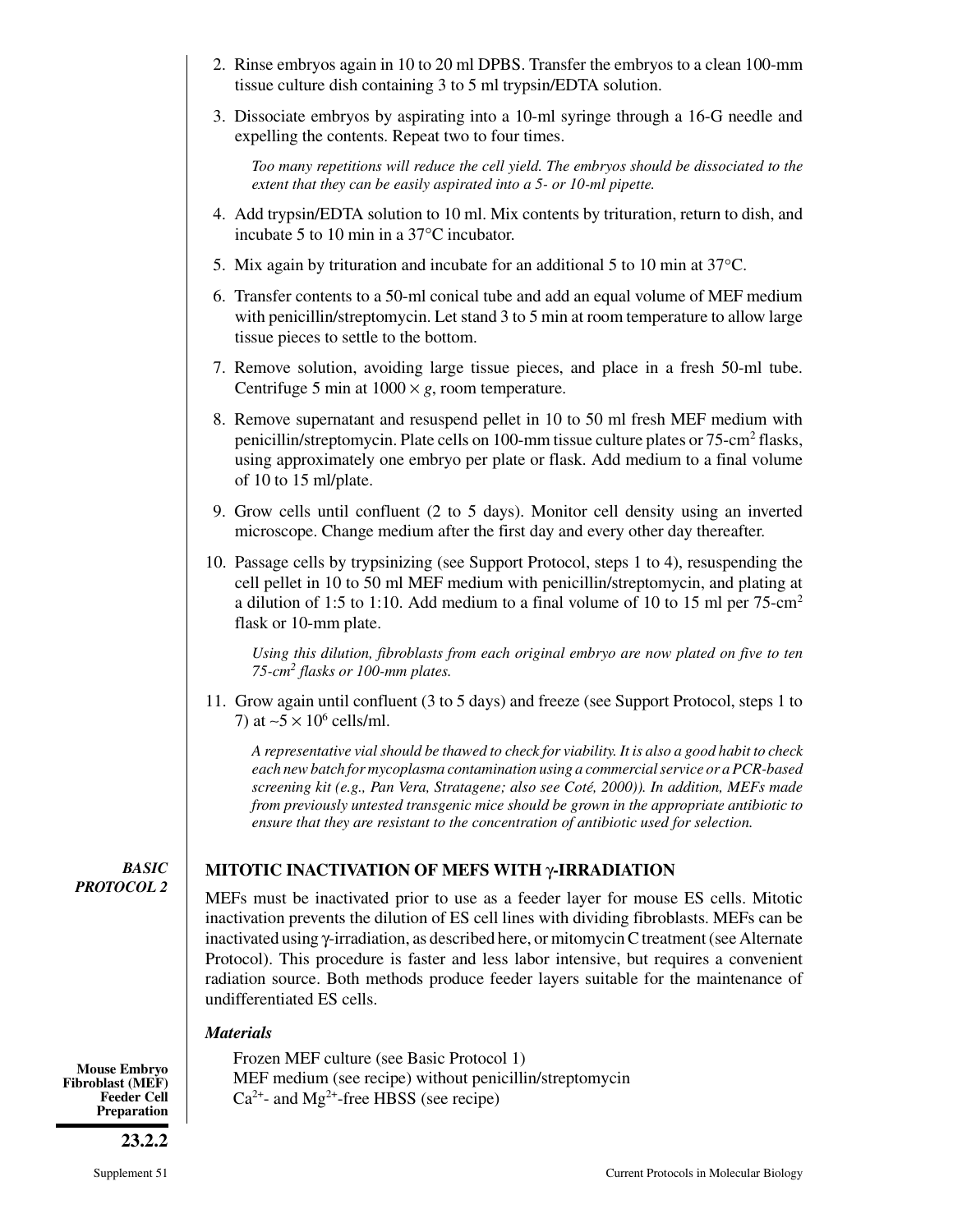|  | 2. Rinse embryos again in 10 to 20 ml DPBS. Transfer the embryos to a clean 100-mm<br>tissue culture dish containing 3 to 5 ml trypsin/EDTA solution.                                                                                                                                                                                                                                                                                                                                             |
|--|---------------------------------------------------------------------------------------------------------------------------------------------------------------------------------------------------------------------------------------------------------------------------------------------------------------------------------------------------------------------------------------------------------------------------------------------------------------------------------------------------|
|  | 3. Dissociate embryos by aspirating into a 10-ml syringe through a 16-G needle and<br>expelling the contents. Repeat two to four times.                                                                                                                                                                                                                                                                                                                                                           |
|  | Too many repetitions will reduce the cell yield. The embryos should be dissociated to the<br>extent that they can be easily aspirated into a 5- or 10-ml pipette.                                                                                                                                                                                                                                                                                                                                 |
|  | 4. Add trypsin/EDTA solution to 10 ml. Mix contents by trituration, return to dish, and<br>incubate 5 to 10 min in a 37°C incubator.                                                                                                                                                                                                                                                                                                                                                              |
|  | 5. Mix again by trituration and incubate for an additional 5 to 10 min at $37^{\circ}$ C.                                                                                                                                                                                                                                                                                                                                                                                                         |
|  | 6. Transfer contents to a 50-ml conical tube and add an equal volume of MEF medium<br>with penicillin/streptomycin. Let stand 3 to 5 min at room temperature to allow large<br>tissue pieces to settle to the bottom.                                                                                                                                                                                                                                                                             |
|  | 7. Remove solution, avoiding large tissue pieces, and place in a fresh 50-ml tube.<br>Centrifuge 5 min at $1000 \times g$ , room temperature.                                                                                                                                                                                                                                                                                                                                                     |
|  | 8. Remove supernatant and resuspend pellet in 10 to 50 ml fresh MEF medium with<br>penicillin/streptomycin. Plate cells on 100-mm tissue culture plates or 75-cm <sup>2</sup> flasks,<br>using approximately one embryo per plate or flask. Add medium to a final volume<br>of 10 to 15 ml/plate.                                                                                                                                                                                                 |
|  | 9. Grow cells until confluent (2 to 5 days). Monitor cell density using an inverted<br>microscope. Change medium after the first day and every other day thereafter.                                                                                                                                                                                                                                                                                                                              |
|  | 10. Passage cells by trypsinizing (see Support Protocol, steps 1 to 4), resuspending the<br>cell pellet in 10 to 50 ml MEF medium with penicillin/streptomycin, and plating at<br>a dilution of 1:5 to 1:10. Add medium to a final volume of 10 to 15 ml per $75$ -cm <sup>2</sup><br>flask or 10-mm plate.                                                                                                                                                                                       |
|  | Using this dilution, fibroblasts from each original embryo are now plated on five to ten<br>75-cm <sup>2</sup> flasks or 100-mm plates.                                                                                                                                                                                                                                                                                                                                                           |
|  | 11. Grow again until confluent (3 to 5 days) and freeze (see Support Protocol, steps 1 to<br>7) at $-5 \times 10^6$ cells/ml.                                                                                                                                                                                                                                                                                                                                                                     |
|  | A representative vial should be thawed to check for viability. It is also a good habit to check<br>each new batch for mycoplasma contamination using a commercial service or a PCR-based<br>screening kit (e.g., Pan Vera, Stratagene; also see Coté, 2000)). In addition, MEFs made<br>from previously untested transgenic mice should be grown in the appropriate antibiotic to<br>ensure that they are resistant to the concentration of antibiotic used for selection.                        |
|  | MITOTIC INACTIVATION OF MEFS WITH γ-IRRADIATION                                                                                                                                                                                                                                                                                                                                                                                                                                                   |
|  | MEFs must be inactivated prior to use as a feeder layer for mouse ES cells. Mitotic<br>inactivation prevents the dilution of ES cell lines with dividing fibroblasts. MEFs can be<br>inactivated using y-irradiation, as described here, or mitomycin C treatment (see Alternate<br>Protocol). This procedure is faster and less labor intensive, but requires a convenient<br>radiation source. Both methods produce feeder layers suitable for the maintenance of<br>undifferentiated ES cells. |
|  | <b>Materials</b>                                                                                                                                                                                                                                                                                                                                                                                                                                                                                  |
|  | Frozen MEF culture (see Basic Protocol 1)<br>MEF medium (see recipe) without penicillin/streptomycin                                                                                                                                                                                                                                                                                                                                                                                              |

 $Ca<sup>2+</sup>$ - and Mg<sup>2+</sup>-free HBSS (see recipe)

**Mouse Embryo Fibroblast (MEF) Feeder Cell Preparation**

**23.2.2**

*BASIC PROTOCOL 2*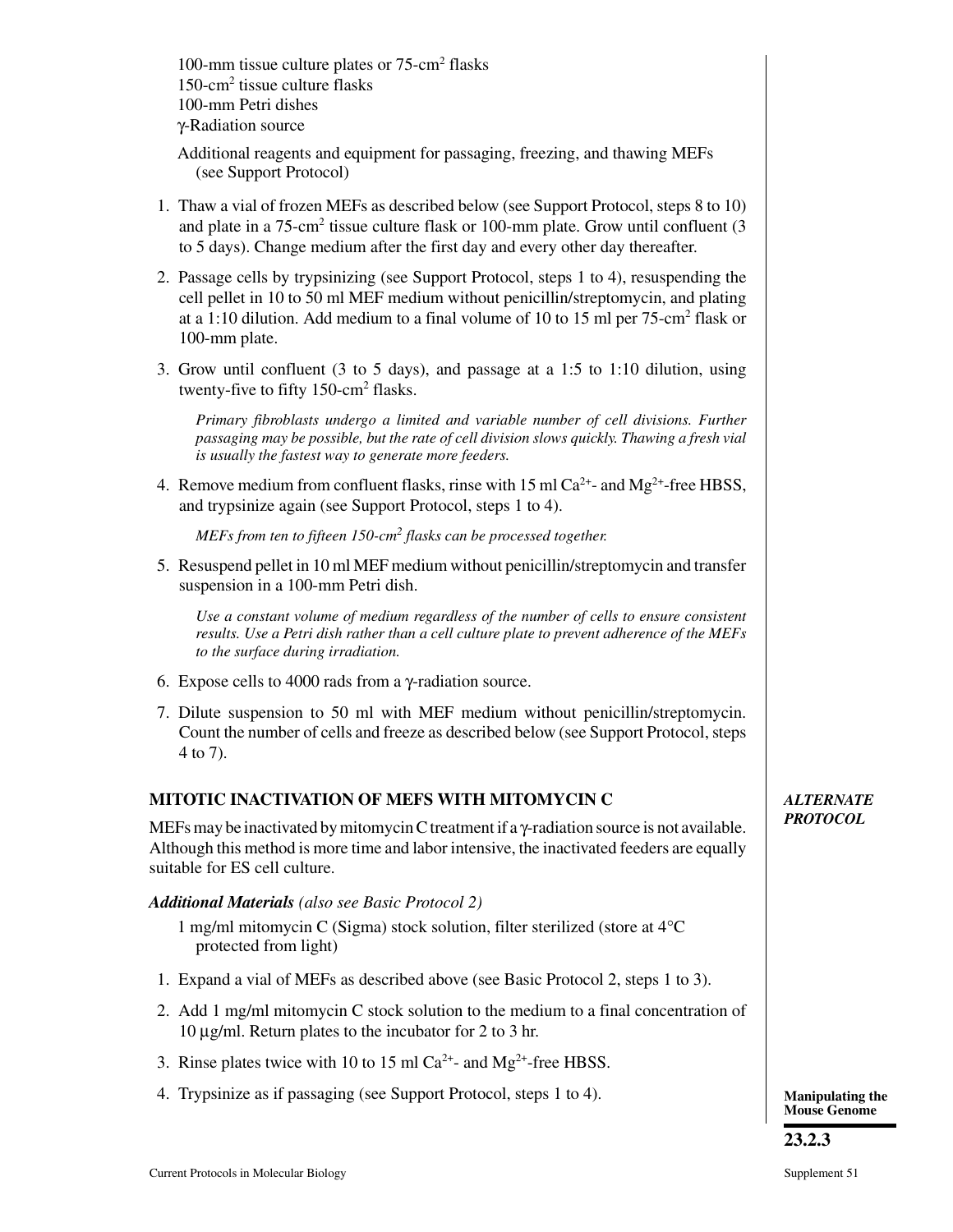

4. Trypsinize as if passaging (see Support Protocol, steps 1 to 4).

**Manipulating the Mouse Genome**

*ALTERNATE PROTOCOL*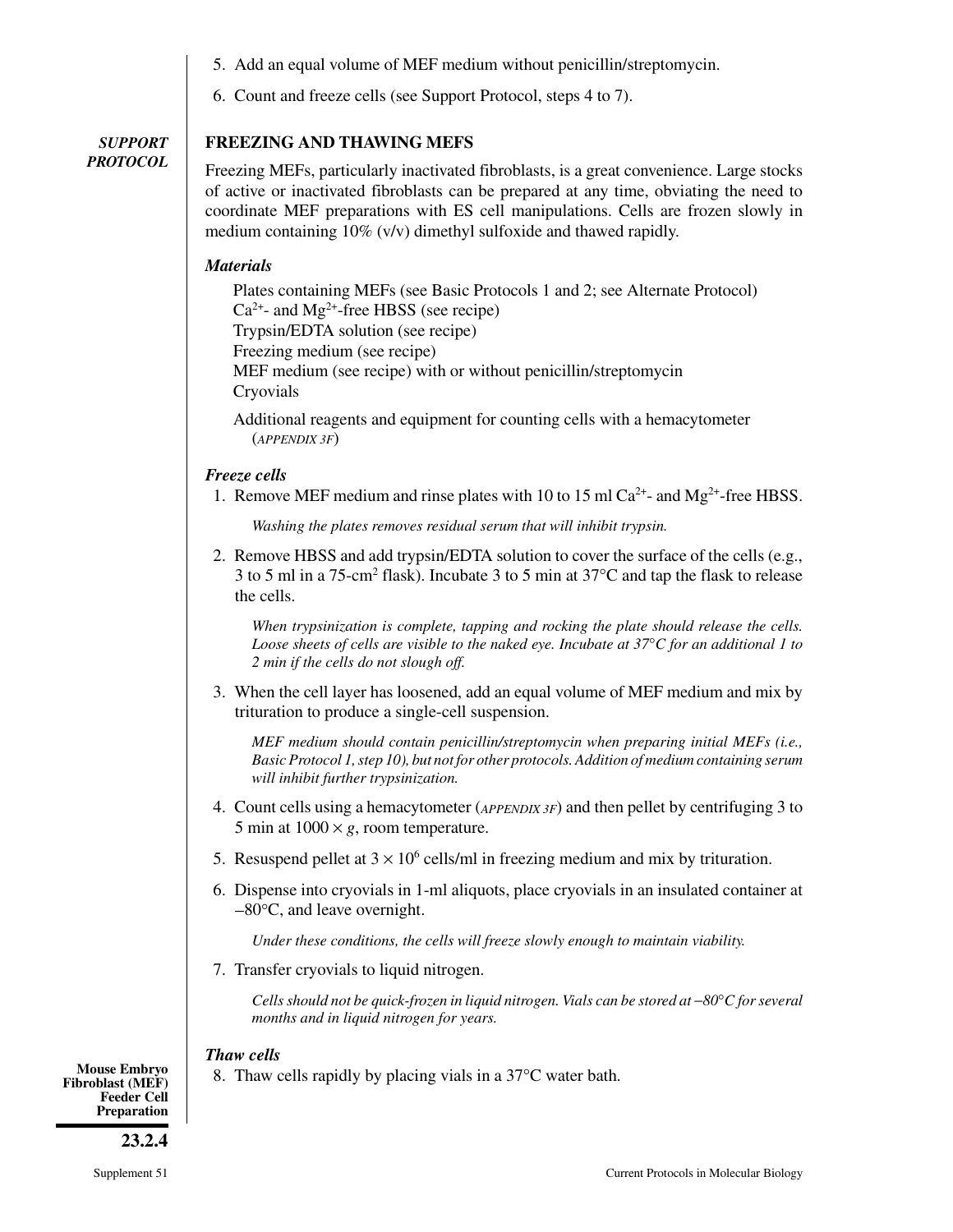- 5. Add an equal volume of MEF medium without penicillin/streptomycin.
- 6. Count and freeze cells (see Support Protocol, steps 4 to 7).

#### *SUPPORT* **FREEZING AND THAWING MEFS**

*PROTOCOL*

Freezing MEFs, particularly inactivated fibroblasts, is a great convenience. Large stocks of active or inactivated fibroblasts can be prepared at any time, obviating the need to coordinate MEF preparations with ES cell manipulations. Cells are frozen slowly in medium containing 10% (v/v) dimethyl sulfoxide and thawed rapidly.

#### *Materials*

Plates containing MEFs (see Basic Protocols 1 and 2; see Alternate Protocol)  $Ca<sup>2+</sup>$ - and Mg<sup>2+</sup>-free HBSS (see recipe) Trypsin/EDTA solution (see recipe) Freezing medium (see recipe) MEF medium (see recipe) with or without penicillin/streptomycin Cryovials

Additional reagents and equipment for counting cells with a hemacytometer (*APPENDIX 3F*)

#### *Freeze cells*

1. Remove MEF medium and rinse plates with 10 to 15 ml  $Ca^{2+}$ - and Mg<sup>2+</sup>-free HBSS.

*Washing the plates removes residual serum that will inhibit trypsin.*

2. Remove HBSS and add trypsin/EDTA solution to cover the surface of the cells (e.g., 3 to 5 ml in a 75-cm<sup>2</sup> flask). Incubate 3 to 5 min at 37 $\degree$ C and tap the flask to release the cells.

*When trypsinization is complete, tapping and rocking the plate should release the cells. Loose sheets of cells are visible to the naked eye. Incubate at 37*°*C for an additional 1 to 2 min if the cells do not slough off.*

3. When the cell layer has loosened, add an equal volume of MEF medium and mix by trituration to produce a single-cell suspension.

*MEF medium should contain penicillin/streptomycin when preparing initial MEFs (i.e., Basic Protocol 1, step 10), but not for other protocols. Addition of medium containing serum will inhibit further trypsinization.*

- 4. Count cells using a hemacytometer (*APPENDIX 3F*) and then pellet by centrifuging 3 to 5 min at  $1000 \times g$ , room temperature.
- 5. Resuspend pellet at  $3 \times 10^6$  cells/ml in freezing medium and mix by trituration.
- 6. Dispense into cryovials in 1-ml aliquots, place cryovials in an insulated container at −80°C, and leave overnight.

*Under these conditions, the cells will freeze slowly enough to maintain viability.*

7. Transfer cryovials to liquid nitrogen.

8. Thaw cells rapidly by placing vials in a 37°C water bath.

*Cells should not be quick-frozen in liquid nitrogen. Vials can be stored at* −*80*°*C* for several *months and in liquid nitrogen for years.*

#### *Thaw cells*

**Mouse Embryo Fibroblast (MEF) Feeder Cell Preparation**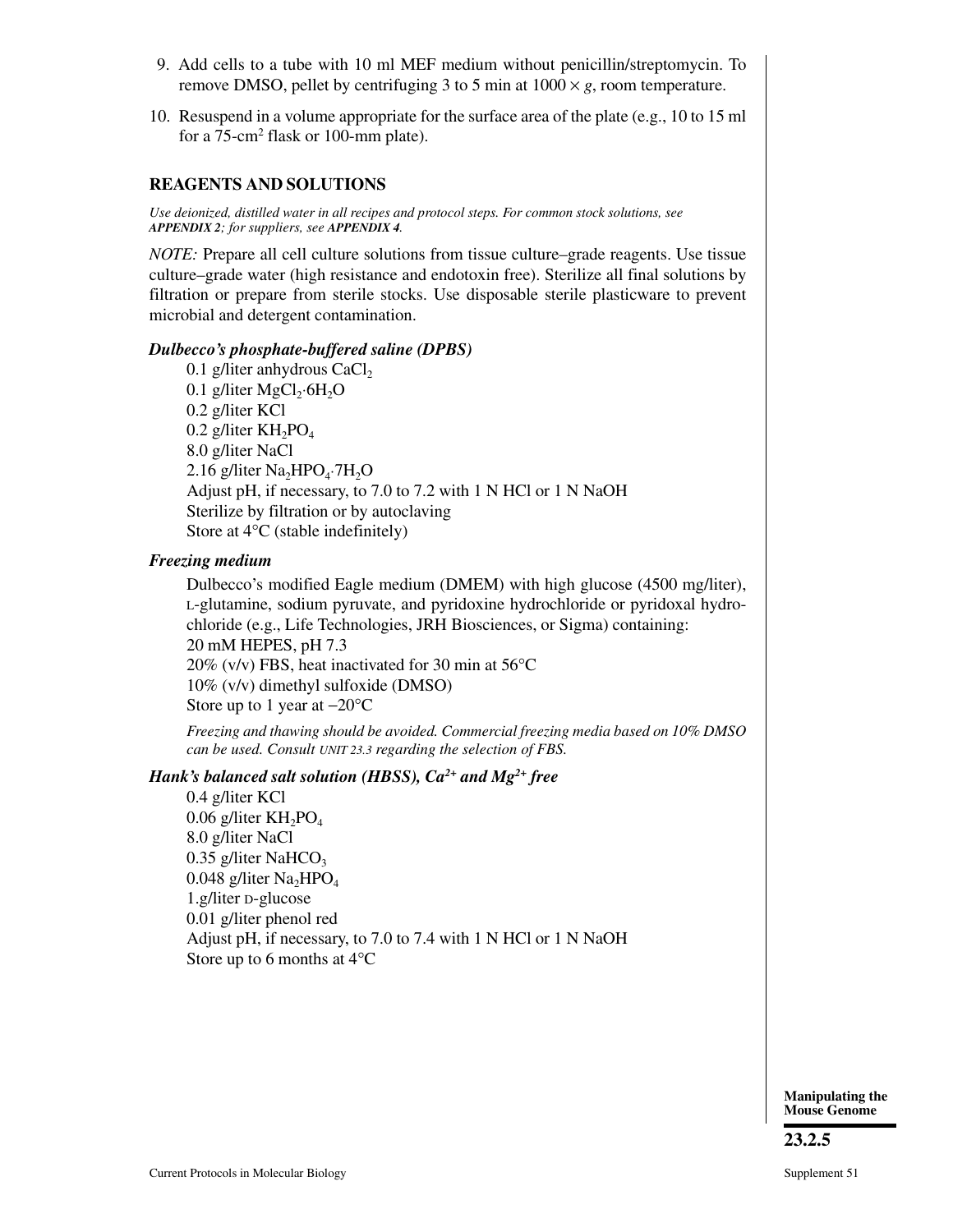- 9. Add cells to a tube with 10 ml MEF medium without penicillin/streptomycin. To remove DMSO, pellet by centrifuging 3 to 5 min at  $1000 \times g$ , room temperature.
- 10. Resuspend in a volume appropriate for the surface area of the plate (e.g., 10 to 15 ml for a 75-cm<sup>2</sup> flask or 100-mm plate).

### **REAGENTS AND SOLUTIONS**

*Use deionized, distilled water in all recipes and protocol steps. For common stock solutions, see APPENDIX 2; for suppliers, see APPENDIX 4.*

*NOTE:* Prepare all cell culture solutions from tissue culture–grade reagents. Use tissue culture–grade water (high resistance and endotoxin free). Sterilize all final solutions by filtration or prepare from sterile stocks. Use disposable sterile plasticware to prevent microbial and detergent contamination.

#### *Dulbecco's phosphate-buffered saline (DPBS)*

0.1 g/liter anhydrous  $CaCl<sub>2</sub>$ 0.1 g/liter MgCl<sub>2</sub>⋅6H<sub>2</sub>O 0.2 g/liter KCl  $0.2$  g/liter KH<sub>2</sub>PO<sub>4</sub> 8.0 g/liter NaCl 2.16 g/liter Na<sub>2</sub>HPO<sub>4</sub>⋅7H<sub>2</sub>O Adjust pH, if necessary, to 7.0 to 7.2 with 1 N HCl or 1 N NaOH Sterilize by filtration or by autoclaving Store at 4°C (stable indefinitely)

#### *Freezing medium*

Dulbecco's modified Eagle medium (DMEM) with high glucose (4500 mg/liter), L-glutamine, sodium pyruvate, and pyridoxine hydrochloride or pyridoxal hydrochloride (e.g., Life Technologies, JRH Biosciences, or Sigma) containing: 20 mM HEPES, pH 7.3 20% (v/v) FBS, heat inactivated for 30 min at 56°C 10% (v/v) dimethyl sulfoxide (DMSO) Store up to 1 year at −20°C

*Freezing and thawing should be avoided. Commercial freezing media based on 10% DMSO can be used. Consult UNIT 23.3 regarding the selection of FBS.*

#### *Hank's balanced salt solution (HBSS), Ca*<sup>2+</sup> and Mg<sup>2+</sup> free

0.4 g/liter KCl 0.06 g/liter  $KH_2PO_4$ 8.0 g/liter NaCl 0.35 g/liter NaHCO<sub>3</sub> 0.048 g/liter Na<sub>2</sub>HPO<sub>4</sub> 1.g/liter D-glucose 0.01 g/liter phenol red Adjust pH, if necessary, to 7.0 to 7.4 with 1 N HCl or 1 N NaOH Store up to 6 months at 4°C

> **Manipulating the Mouse Genome**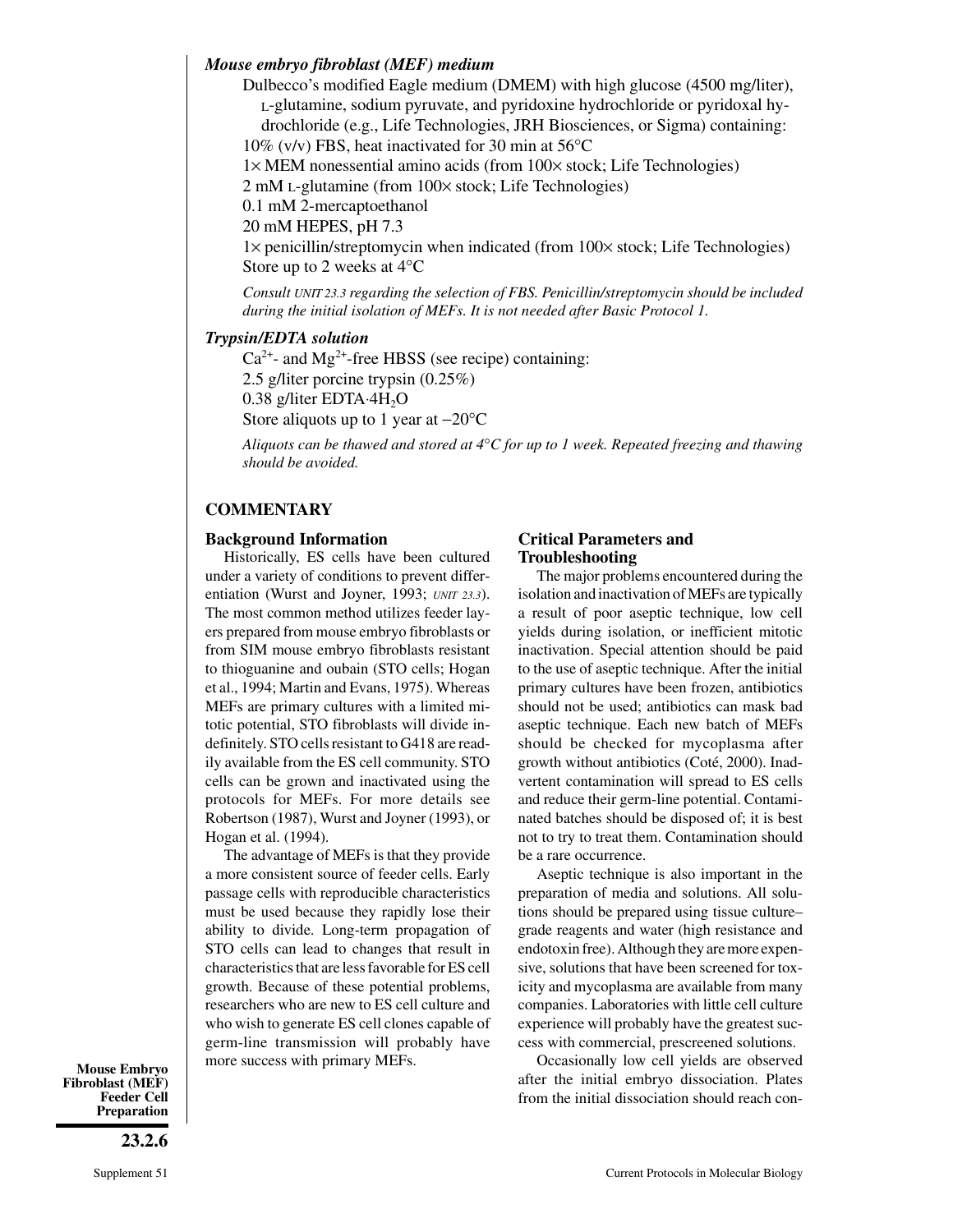#### *Mouse embryo fibroblast (MEF) medium*

Dulbecco's modified Eagle medium (DMEM) with high glucose (4500 mg/liter), L-glutamine, sodium pyruvate, and pyridoxine hydrochloride or pyridoxal hydrochloride (e.g., Life Technologies, JRH Biosciences, or Sigma) containing: 10% (v/v) FBS, heat inactivated for 30 min at 56°C

1× MEM nonessential amino acids (from 100× stock; Life Technologies)

2 mM L-glutamine (from 100× stock; Life Technologies)

0.1 mM 2-mercaptoethanol

20 mM HEPES, pH 7.3

1× penicillin/streptomycin when indicated (from 100× stock; Life Technologies) Store up to 2 weeks at 4°C

*Consult UNIT 23.3 regarding the selection of FBS. Penicillin/streptomycin should be included during the initial isolation of MEFs. It is not needed after Basic Protocol 1.*

#### *Trypsin/EDTA solution*

 $Ca<sup>2+</sup>$ - and Mg<sup>2+</sup>-free HBSS (see recipe) containing:

2.5 g/liter porcine trypsin (0.25%)

0.38 g/liter EDTA⋅4H<sub>2</sub>O

Store aliquots up to 1 year at −20°C

*Aliquots can be thawed and stored at 4*°*C for up to 1 week. Repeated freezing and thawing should be avoided.*

#### **COMMENTARY**

#### **Background Information**

Historically, ES cells have been cultured under a variety of conditions to prevent differentiation (Wurst and Joyner, 1993; *UNIT 23.3*). The most common method utilizes feeder layers prepared from mouse embryo fibroblasts or from SIM mouse embryo fibroblasts resistant to thioguanine and oubain (STO cells; Hogan et al., 1994; Martin and Evans, 1975). Whereas MEFs are primary cultures with a limited mitotic potential, STO fibroblasts will divide indefinitely. STO cells resistant to G418 are readily available from the ES cell community. STO cells can be grown and inactivated using the protocols for MEFs. For more details see Robertson (1987), Wurst and Joyner (1993), or Hogan et al. (1994).

The advantage of MEFs is that they provide a more consistent source of feeder cells. Early passage cells with reproducible characteristics must be used because they rapidly lose their ability to divide. Long-term propagation of STO cells can lead to changes that result in characteristics that are less favorable for ES cell growth. Because of these potential problems, researchers who are new to ES cell culture and who wish to generate ES cell clones capable of germ-line transmission will probably have more success with primary MEFs.

#### **Critical Parameters and Troubleshooting**

The major problems encountered during the isolation and inactivation of MEFs are typically a result of poor aseptic technique, low cell yields during isolation, or inefficient mitotic inactivation. Special attention should be paid to the use of aseptic technique. After the initial primary cultures have been frozen, antibiotics should not be used; antibiotics can mask bad aseptic technique. Each new batch of MEFs should be checked for mycoplasma after growth without antibiotics (Coté, 2000). Inadvertent contamination will spread to ES cells and reduce their germ-line potential. Contaminated batches should be disposed of; it is best not to try to treat them. Contamination should be a rare occurrence.

Aseptic technique is also important in the preparation of media and solutions. All solutions should be prepared using tissue culture– grade reagents and water (high resistance and endotoxin free). Although they are more expensive, solutions that have been screened for toxicity and mycoplasma are available from many companies. Laboratories with little cell culture experience will probably have the greatest success with commercial, prescreened solutions.

Occasionally low cell yields are observed after the initial embryo dissociation. Plates from the initial dissociation should reach con-

**Mouse Embryo Fibroblast (MEF) Feeder Cell Preparation**